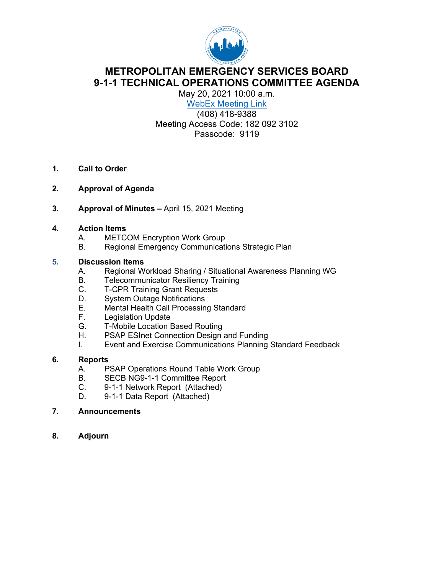

## **METROPOLITAN EMERGENCY SERVICES BOARD 9-1-1 TECHNICAL OPERATIONS COMMITTEE AGENDA**

May 20, 2021 10:00 a.m. WebEx [Meeting Link](https://metropolitanemergencyservicesboard.my.webex.com/metropolitanemergencyservicesboard.my/j.php?MTID=m51da9739027d16376b3ce7be01cff2e7)

(408) 418-9388 Meeting Access Code: 182 092 3102 Passcode: 9119

- **1. Call to Order**
- **2. Approval of Agenda**
- **3. Approval of Minutes –** April 15, 2021 Meeting

#### **4. Action Items**

- A. METCOM Encryption Work Group
- B. Regional Emergency Communications Strategic Plan

# **5. Discussion Items**

- A. Regional Workload Sharing / Situational Awareness Planning WG
- B. Telecommunicator Resiliency Training
- C. T-CPR Training Grant Requests
- 
- D. System Outage Notifications<br>E. Mental Health Call Processin E. Mental Health Call Processing Standard<br>F. Legislation Update
- Legislation Update
- G. T-Mobile Location Based Routing<br>H. PSAP ESInet Connection Design
- PSAP ESInet Connection Design and Funding
- I. Event and Exercise Communications Planning Standard Feedback

#### **6. Reports**

- A. PSAP Operations Round Table Work Group<br>B. SECB NG9-1-1 Committee Report
- SECB NG9-1-1 Committee Report
- C. 9-1-1 Network Report (Attached)
- D. 9-1-1 Data Report (Attached)
- **7. Announcements**
- **8. Adjourn**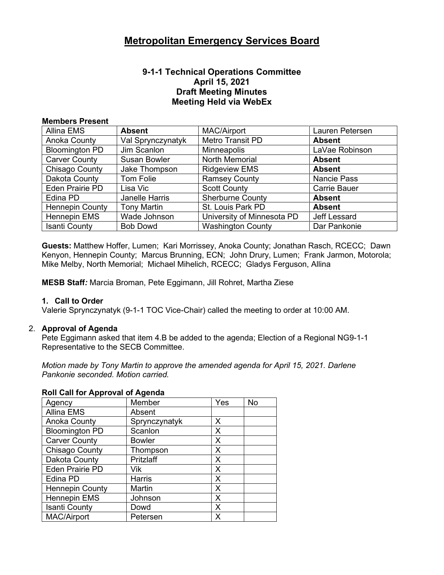#### **9-1-1 Technical Operations Committee April 15, 2021 Draft Meeting Minutes Meeting Held via WebEx**

#### **Members Present**

| Allina EMS             | <b>Absent</b>         | <b>MAC/Airport</b>         | Lauren Petersen     |
|------------------------|-----------------------|----------------------------|---------------------|
| Anoka County           | Val Sprynczynatyk     | Metro Transit PD           | <b>Absent</b>       |
| <b>Bloomington PD</b>  | Jim Scanlon           | <b>Minneapolis</b>         | LaVae Robinson      |
| <b>Carver County</b>   | <b>Susan Bowler</b>   | <b>North Memorial</b>      | <b>Absent</b>       |
| Chisago County         | Jake Thompson         | <b>Ridgeview EMS</b>       | <b>Absent</b>       |
| Dakota County          | Tom Folie             | <b>Ramsey County</b>       | <b>Nancie Pass</b>  |
| Eden Prairie PD        | Lisa Vic              | <b>Scott County</b>        | <b>Carrie Bauer</b> |
| Edina PD               | <b>Janelle Harris</b> | <b>Sherburne County</b>    | <b>Absent</b>       |
| <b>Hennepin County</b> | <b>Tony Martin</b>    | St. Louis Park PD          | <b>Absent</b>       |
| <b>Hennepin EMS</b>    | Wade Johnson          | University of Minnesota PD | Jeff Lessard        |
| <b>Isanti County</b>   | <b>Bob Dowd</b>       | <b>Washington County</b>   | Dar Pankonie        |

**Guests:** Matthew Hoffer, Lumen; Kari Morrissey, Anoka County; Jonathan Rasch, RCECC; Dawn Kenyon, Hennepin County; Marcus Brunning, ECN; John Drury, Lumen; Frank Jarmon, Motorola; Mike Melby, North Memorial; Michael Mihelich, RCECC; Gladys Ferguson, Allina

**MESB Staff***:* Marcia Broman, Pete Eggimann, Jill Rohret, Martha Ziese

#### **1. Call to Order**

Valerie Sprynczynatyk (9-1-1 TOC Vice-Chair) called the meeting to order at 10:00 AM.

#### 2. **Approval of Agenda**

Pete Eggimann asked that item 4.B be added to the agenda; Election of a Regional NG9-1-1 Representative to the SECB Committee.

*Motion made by Tony Martin to approve the amended agenda for April 15, 2021. Darlene Pankonie seconded. Motion carried.*

| $1011$ van tot $A$ pptoval of $A$ gonda |               |     |    |  |
|-----------------------------------------|---------------|-----|----|--|
| Agency                                  | Member        | Yes | No |  |
| <b>Allina EMS</b>                       | Absent        |     |    |  |
| <b>Anoka County</b>                     | Sprynczynatyk | X   |    |  |
| <b>Bloomington PD</b>                   | Scanlon       | X   |    |  |
| <b>Carver County</b>                    | <b>Bowler</b> | X   |    |  |
| <b>Chisago County</b>                   | Thompson      | X   |    |  |
| Dakota County                           | Pritzlaff     | X   |    |  |
| <b>Eden Prairie PD</b>                  | Vik           | X   |    |  |
| Edina PD                                | <b>Harris</b> | X   |    |  |
| <b>Hennepin County</b>                  | Martin        | X   |    |  |
| Hennepin EMS                            | Johnson       | X   |    |  |
| <b>Isanti County</b>                    | Dowd          | X   |    |  |
| <b>MAC/Airport</b>                      | Petersen      | х   |    |  |

#### **Roll Call for Approval of Agenda**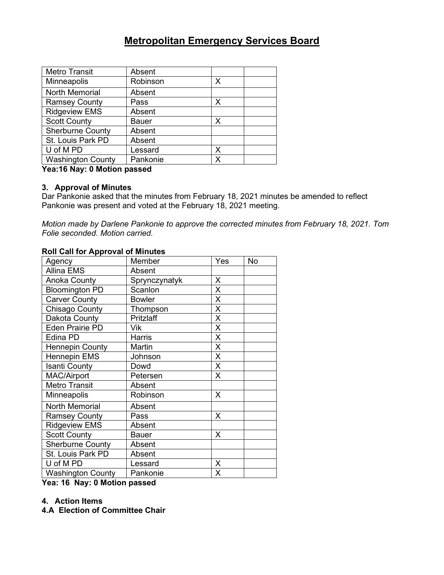| <b>Metro Transit</b>     | Absent       |   |
|--------------------------|--------------|---|
| Minneapolis              | Robinson     | X |
| <b>North Memorial</b>    | Absent       |   |
| <b>Ramsey County</b>     | Pass         | X |
| <b>Ridgeview EMS</b>     | Absent       |   |
| <b>Scott County</b>      | <b>Bauer</b> | Х |
| <b>Sherburne County</b>  | Absent       |   |
| St. Louis Park PD        | Absent       |   |
| U of M PD                | Lessard      | Х |
| <b>Washington County</b> | Pankonie     | χ |

**Yea:16 Nay: 0 Motion passed**

#### **3. Approval of Minutes**

Dar Pankonie asked that the minutes from February 18, 2021 minutes be amended to reflect Pankonie was present and voted at the February 18, 2021 meeting.

*Motion made by Darlene Pankonie to approve the corrected minutes from February 18, 2021. Tom Folie seconded. Motion carried.* 

#### **Roll Call for Approval of Minutes**

| Agency                   | Member        | Yes | No |
|--------------------------|---------------|-----|----|
| <b>Allina EMS</b>        | Absent        |     |    |
| Anoka County             | Sprynczynatyk | X   |    |
| <b>Bloomington PD</b>    | Scanlon       | X   |    |
| <b>Carver County</b>     | <b>Bowler</b> | X   |    |
| Chisago County           | Thompson      | Χ   |    |
| Dakota County            | Pritzlaff     | X   |    |
| <b>Eden Prairie PD</b>   | Vik           | X   |    |
| Edina PD                 | Harris        | X   |    |
| <b>Hennepin County</b>   | Martin        | X   |    |
| <b>Hennepin EMS</b>      | Johnson       | Χ   |    |
| <b>Isanti County</b>     | Dowd          | Χ   |    |
| <b>MAC/Airport</b>       | Petersen      | X   |    |
| <b>Metro Transit</b>     | Absent        |     |    |
| Minneapolis              | Robinson      | X   |    |
| <b>North Memorial</b>    | Absent        |     |    |
| <b>Ramsey County</b>     | Pass          | X   |    |
| <b>Ridgeview EMS</b>     | Absent        |     |    |
| <b>Scott County</b>      | <b>Bauer</b>  | X   |    |
| <b>Sherburne County</b>  | Absent        |     |    |
| St. Louis Park PD        | Absent        |     |    |
| U of M PD                | Lessard       | X   |    |
| <b>Washington County</b> | Pankonie      | X   |    |

**Yea: 16 Nay: 0 Motion passed**

#### **4. Action Items**

**4.A Election of Committee Chair**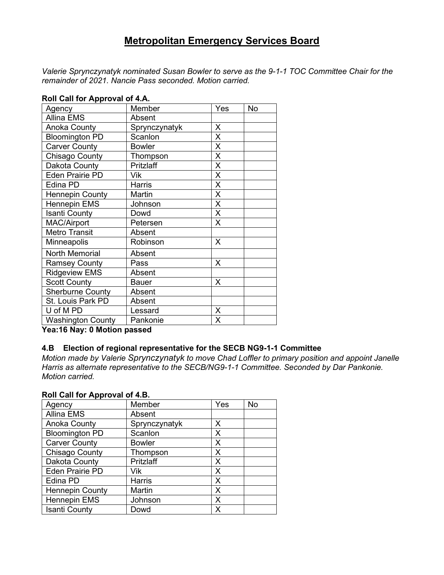*Valerie Sprynczynatyk nominated Susan Bowler to serve as the 9-1-1 TOC Committee Chair for the remainder of 2021. Nancie Pass seconded. Motion carried.*

| Agency                   | Member        | Yes | <b>No</b> |
|--------------------------|---------------|-----|-----------|
| <b>Allina EMS</b>        | Absent        |     |           |
| Anoka County             | Sprynczynatyk | X   |           |
| <b>Bloomington PD</b>    | Scanlon       | X   |           |
| <b>Carver County</b>     | <b>Bowler</b> | X   |           |
| Chisago County           | Thompson      | Χ   |           |
| Dakota County            | Pritzlaff     | X   |           |
| <b>Eden Prairie PD</b>   | Vik           | X   |           |
| Edina PD                 | Harris        | X   |           |
| <b>Hennepin County</b>   | Martin        | X   |           |
| <b>Hennepin EMS</b>      | Johnson       | X   |           |
| <b>Isanti County</b>     | Dowd          | X   |           |
| MAC/Airport              | Petersen      | X   |           |
| <b>Metro Transit</b>     | Absent        |     |           |
| Minneapolis              | Robinson      | X   |           |
| North Memorial           | Absent        |     |           |
| <b>Ramsey County</b>     | Pass          | X   |           |
| <b>Ridgeview EMS</b>     | Absent        |     |           |
| <b>Scott County</b>      | Bauer         | X   |           |
| <b>Sherburne County</b>  | Absent        |     |           |
| St. Louis Park PD        | Absent        |     |           |
| U of M PD                | Lessard       | X   |           |
| <b>Washington County</b> | Pankonie      | Х   |           |

#### **Roll Call for Approval of 4.A.**

**Yea:16 Nay: 0 Motion passed**

#### **4.B Election of regional representative for the SECB NG9-1-1 Committee**

*Motion made by Valerie Sprynczynatyk to move Chad Loffler to primary position and appoint Janelle Harris as alternate representative to the SECB/NG9-1-1 Committee. Seconded by Dar Pankonie. Motion carried.*

#### **Roll Call for Approval of 4.B.**

| Agency                 | Member        | Yes | No |
|------------------------|---------------|-----|----|
| <b>Allina EMS</b>      | Absent        |     |    |
| <b>Anoka County</b>    | Sprynczynatyk | Χ   |    |
| <b>Bloomington PD</b>  | Scanlon       | х   |    |
| <b>Carver County</b>   | <b>Bowler</b> | х   |    |
| Chisago County         | Thompson      | Χ   |    |
| Dakota County          | Pritzlaff     | Χ   |    |
| <b>Eden Prairie PD</b> | Vik           | X   |    |
| Edina PD               | <b>Harris</b> | Χ   |    |
| <b>Hennepin County</b> | Martin        | Χ   |    |
| Hennepin EMS           | Johnson       | Χ   |    |
| <b>Isanti County</b>   | Dowd          | x   |    |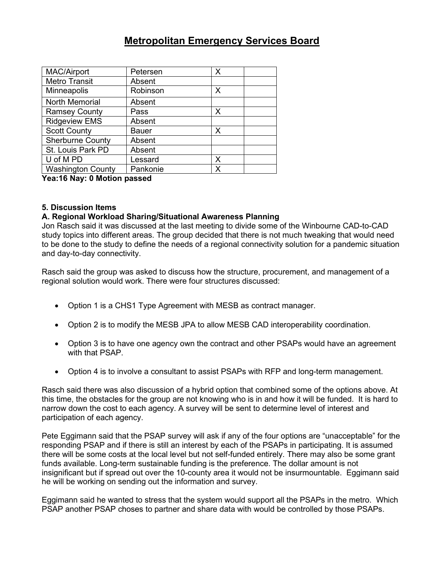| MAC/Airport              | Petersen | X |
|--------------------------|----------|---|
| <b>Metro Transit</b>     | Absent   |   |
| Minneapolis              | Robinson | Х |
| <b>North Memorial</b>    | Absent   |   |
| <b>Ramsey County</b>     | Pass     | X |
| <b>Ridgeview EMS</b>     | Absent   |   |
| <b>Scott County</b>      | Bauer    | Х |
| <b>Sherburne County</b>  | Absent   |   |
| St. Louis Park PD        | Absent   |   |
| U of M PD                | Lessard  | X |
| <b>Washington County</b> | Pankonie | x |

**Yea:16 Nay: 0 Motion passed**

#### **5. Discussion Items**

#### **A. Regional Workload Sharing/Situational Awareness Planning**

Jon Rasch said it was discussed at the last meeting to divide some of the Winbourne CAD-to-CAD study topics into different areas. The group decided that there is not much tweaking that would need to be done to the study to define the needs of a regional connectivity solution for a pandemic situation and day-to-day connectivity.

Rasch said the group was asked to discuss how the structure, procurement, and management of a regional solution would work. There were four structures discussed:

- Option 1 is a CHS1 Type Agreement with MESB as contract manager.
- Option 2 is to modify the MESB JPA to allow MESB CAD interoperability coordination.
- Option 3 is to have one agency own the contract and other PSAPs would have an agreement with that PSAP.
- Option 4 is to involve a consultant to assist PSAPs with RFP and long-term management.

Rasch said there was also discussion of a hybrid option that combined some of the options above. At this time, the obstacles for the group are not knowing who is in and how it will be funded. It is hard to narrow down the cost to each agency. A survey will be sent to determine level of interest and participation of each agency.

Pete Eggimann said that the PSAP survey will ask if any of the four options are "unacceptable" for the responding PSAP and if there is still an interest by each of the PSAPs in participating. It is assumed there will be some costs at the local level but not self-funded entirely. There may also be some grant funds available. Long-term sustainable funding is the preference. The dollar amount is not insignificant but if spread out over the 10-county area it would not be insurmountable. Eggimann said he will be working on sending out the information and survey.

Eggimann said he wanted to stress that the system would support all the PSAPs in the metro. Which PSAP another PSAP choses to partner and share data with would be controlled by those PSAPs.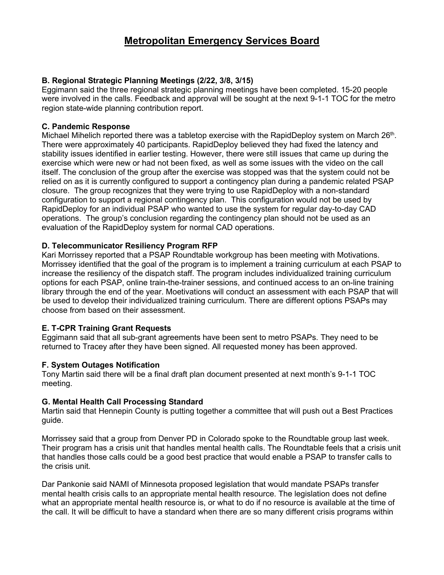#### **B. Regional Strategic Planning Meetings (2/22, 3/8, 3/15)**

Eggimann said the three regional strategic planning meetings have been completed. 15-20 people were involved in the calls. Feedback and approval will be sought at the next 9-1-1 TOC for the metro region state-wide planning contribution report.

#### **C. Pandemic Response**

Michael Mihelich reported there was a tabletop exercise with the RapidDeploy system on March 26<sup>th</sup>. There were approximately 40 participants. RapidDeploy believed they had fixed the latency and stability issues identified in earlier testing. However, there were still issues that came up during the exercise which were new or had not been fixed, as well as some issues with the video on the call itself. The conclusion of the group after the exercise was stopped was that the system could not be relied on as it is currently configured to support a contingency plan during a pandemic related PSAP closure. The group recognizes that they were trying to use RapidDeploy with a non-standard configuration to support a regional contingency plan. This configuration would not be used by RapidDeploy for an individual PSAP who wanted to use the system for regular day-to-day CAD operations. The group's conclusion regarding the contingency plan should not be used as an evaluation of the RapidDeploy system for normal CAD operations.

#### **D. Telecommunicator Resiliency Program RFP**

Kari Morrissey reported that a PSAP Roundtable workgroup has been meeting with Motivations. Morrissey identified that the goal of the program is to implement a training curriculum at each PSAP to increase the resiliency of the dispatch staff. The program includes individualized training curriculum options for each PSAP, online train-the-trainer sessions, and continued access to an on-line training library through the end of the year. Moetivations will conduct an assessment with each PSAP that will be used to develop their individualized training curriculum. There are different options PSAPs may choose from based on their assessment.

#### **E. T-CPR Training Grant Requests**

Eggimann said that all sub-grant agreements have been sent to metro PSAPs. They need to be returned to Tracey after they have been signed. All requested money has been approved.

#### **F. System Outages Notification**

Tony Martin said there will be a final draft plan document presented at next month's 9-1-1 TOC meeting.

#### **G. Mental Health Call Processing Standard**

Martin said that Hennepin County is putting together a committee that will push out a Best Practices guide.

Morrissey said that a group from Denver PD in Colorado spoke to the Roundtable group last week. Their program has a crisis unit that handles mental health calls. The Roundtable feels that a crisis unit that handles those calls could be a good best practice that would enable a PSAP to transfer calls to the crisis unit.

Dar Pankonie said NAMI of Minnesota proposed legislation that would mandate PSAPs transfer mental health crisis calls to an appropriate mental health resource. The legislation does not define what an appropriate mental health resource is, or what to do if no resource is available at the time of the call. It will be difficult to have a standard when there are so many different crisis programs within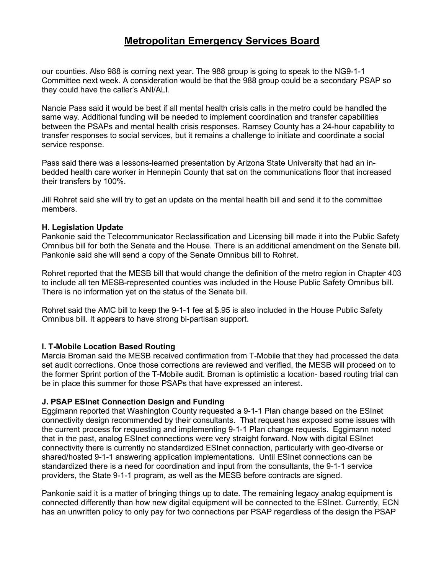our counties. Also 988 is coming next year. The 988 group is going to speak to the NG9-1-1 Committee next week. A consideration would be that the 988 group could be a secondary PSAP so they could have the caller's ANI/ALI.

Nancie Pass said it would be best if all mental health crisis calls in the metro could be handled the same way. Additional funding will be needed to implement coordination and transfer capabilities between the PSAPs and mental health crisis responses. Ramsey County has a 24-hour capability to transfer responses to social services, but it remains a challenge to initiate and coordinate a social service response.

Pass said there was a lessons-learned presentation by Arizona State University that had an inbedded health care worker in Hennepin County that sat on the communications floor that increased their transfers by 100%.

Jill Rohret said she will try to get an update on the mental health bill and send it to the committee members.

#### **H. Legislation Update**

Pankonie said the Telecommunicator Reclassification and Licensing bill made it into the Public Safety Omnibus bill for both the Senate and the House. There is an additional amendment on the Senate bill. Pankonie said she will send a copy of the Senate Omnibus bill to Rohret.

Rohret reported that the MESB bill that would change the definition of the metro region in Chapter 403 to include all ten MESB-represented counties was included in the House Public Safety Omnibus bill. There is no information yet on the status of the Senate bill.

Rohret said the AMC bill to keep the 9-1-1 fee at \$.95 is also included in the House Public Safety Omnibus bill. It appears to have strong bi-partisan support.

#### **I. T-Mobile Location Based Routing**

Marcia Broman said the MESB received confirmation from T-Mobile that they had processed the data set audit corrections. Once those corrections are reviewed and verified, the MESB will proceed on to the former Sprint portion of the T-Mobile audit. Broman is optimistic a location- based routing trial can be in place this summer for those PSAPs that have expressed an interest.

#### **J. PSAP ESInet Connection Design and Funding**

Eggimann reported that Washington County requested a 9-1-1 Plan change based on the ESInet connectivity design recommended by their consultants. That request has exposed some issues with the current process for requesting and implementing 9-1-1 Plan change requests. Eggimann noted that in the past, analog ESInet connections were very straight forward. Now with digital ESInet connectivity there is currently no standardized ESInet connection, particularly with geo-diverse or shared/hosted 9-1-1 answering application implementations. Until ESInet connections can be standardized there is a need for coordination and input from the consultants, the 9-1-1 service providers, the State 9-1-1 program, as well as the MESB before contracts are signed.

Pankonie said it is a matter of bringing things up to date. The remaining legacy analog equipment is connected differently than how new digital equipment will be connected to the ESInet. Currently, ECN has an unwritten policy to only pay for two connections per PSAP regardless of the design the PSAP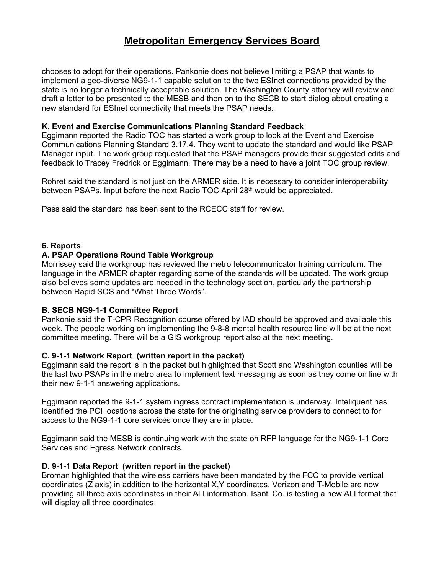chooses to adopt for their operations. Pankonie does not believe limiting a PSAP that wants to implement a geo-diverse NG9-1-1 capable solution to the two ESInet connections provided by the state is no longer a technically acceptable solution. The Washington County attorney will review and draft a letter to be presented to the MESB and then on to the SECB to start dialog about creating a new standard for ESInet connectivity that meets the PSAP needs.

#### **K. Event and Exercise Communications Planning Standard Feedback**

Eggimann reported the Radio TOC has started a work group to look at the Event and Exercise Communications Planning Standard 3.17.4. They want to update the standard and would like PSAP Manager input. The work group requested that the PSAP managers provide their suggested edits and feedback to Tracey Fredrick or Eggimann. There may be a need to have a joint TOC group review.

Rohret said the standard is not just on the ARMER side. It is necessary to consider interoperability between PSAPs. Input before the next Radio TOC April 28<sup>th</sup> would be appreciated.

Pass said the standard has been sent to the RCECC staff for review.

#### **6. Reports**

#### **A. PSAP Operations Round Table Workgroup**

Morrissey said the workgroup has reviewed the metro telecommunicator training curriculum. The language in the ARMER chapter regarding some of the standards will be updated. The work group also believes some updates are needed in the technology section, particularly the partnership between Rapid SOS and "What Three Words".

#### **B. SECB NG9-1-1 Committee Report**

Pankonie said the T-CPR Recognition course offered by IAD should be approved and available this week. The people working on implementing the 9-8-8 mental health resource line will be at the next committee meeting. There will be a GIS workgroup report also at the next meeting.

#### **C. 9-1-1 Network Report (written report in the packet)**

Eggimann said the report is in the packet but highlighted that Scott and Washington counties will be the last two PSAPs in the metro area to implement text messaging as soon as they come on line with their new 9-1-1 answering applications.

Eggimann reported the 9-1-1 system ingress contract implementation is underway. Inteliquent has identified the POI locations across the state for the originating service providers to connect to for access to the NG9-1-1 core services once they are in place.

Eggimann said the MESB is continuing work with the state on RFP language for the NG9-1-1 Core Services and Egress Network contracts.

#### **D. 9-1-1 Data Report (written report in the packet)**

Broman highlighted that the wireless carriers have been mandated by the FCC to provide vertical coordinates (Z axis) in addition to the horizontal X,Y coordinates. Verizon and T-Mobile are now providing all three axis coordinates in their ALI information. Isanti Co. is testing a new ALI format that will display all three coordinates.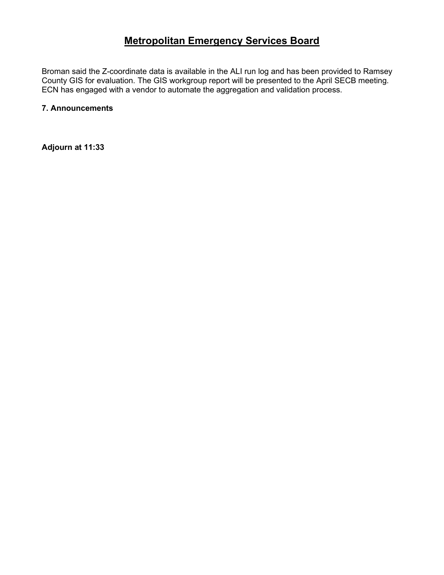Broman said the Z-coordinate data is available in the ALI run log and has been provided to Ramsey County GIS for evaluation. The GIS workgroup report will be presented to the April SECB meeting. ECN has engaged with a vendor to automate the aggregation and validation process.

#### **7. Announcements**

**Adjourn at 11:33**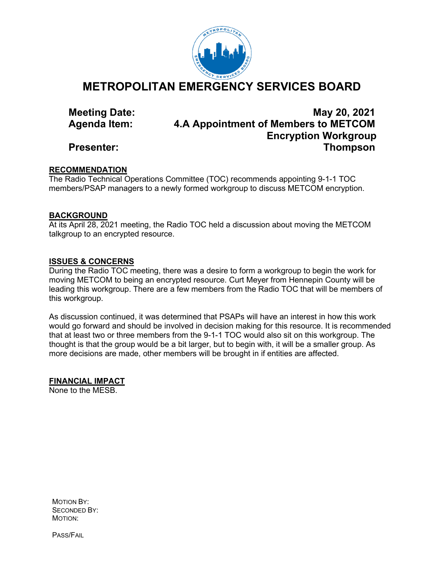

**METROPOLITAN EMERGENCY SERVICES BOARD**

**Meeting Date: May 20, 2021 Agenda Item: 4.A Appointment of Members to METCOM Encryption Workgroup Presenter: Thompson**

#### **RECOMMENDATION**

The Radio Technical Operations Committee (TOC) recommends appointing 9-1-1 TOC members/PSAP managers to a newly formed workgroup to discuss METCOM encryption.

#### **BACKGROUND**

At its April 28, 2021 meeting, the Radio TOC held a discussion about moving the METCOM talkgroup to an encrypted resource.

#### **ISSUES & CONCERNS**

During the Radio TOC meeting, there was a desire to form a workgroup to begin the work for moving METCOM to being an encrypted resource. Curt Meyer from Hennepin County will be leading this workgroup. There are a few members from the Radio TOC that will be members of this workgroup.

As discussion continued, it was determined that PSAPs will have an interest in how this work would go forward and should be involved in decision making for this resource. It is recommended that at least two or three members from the 9-1-1 TOC would also sit on this workgroup. The thought is that the group would be a bit larger, but to begin with, it will be a smaller group. As more decisions are made, other members will be brought in if entities are affected.

**FINANCIAL IMPACT**

None to the MESB.

MOTION BY: SECONDED BY: MOTION:

PASS/FAIL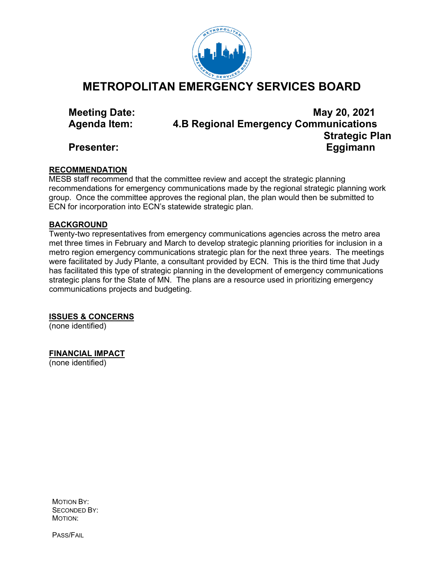

## **METROPOLITAN EMERGENCY SERVICES BOARD**

**Meeting Date: May 20, 2021 Agenda Item: 4.B Regional Emergency Communications Strategic Plan Presenter: Eggimann**

#### **RECOMMENDATION**

MESB staff recommend that the committee review and accept the strategic planning recommendations for emergency communications made by the regional strategic planning work group. Once the committee approves the regional plan, the plan would then be submitted to ECN for incorporation into ECN's statewide strategic plan.

#### **BACKGROUND**

Twenty-two representatives from emergency communications agencies across the metro area met three times in February and March to develop strategic planning priorities for inclusion in a metro region emergency communications strategic plan for the next three years. The meetings were facilitated by Judy Plante, a consultant provided by ECN. This is the third time that Judy has facilitated this type of strategic planning in the development of emergency communications strategic plans for the State of MN. The plans are a resource used in prioritizing emergency communications projects and budgeting.

**ISSUES & CONCERNS**

(none identified)

### **FINANCIAL IMPACT**

(none identified)

MOTION BY: SECONDED BY: MOTION:

PASS/FAIL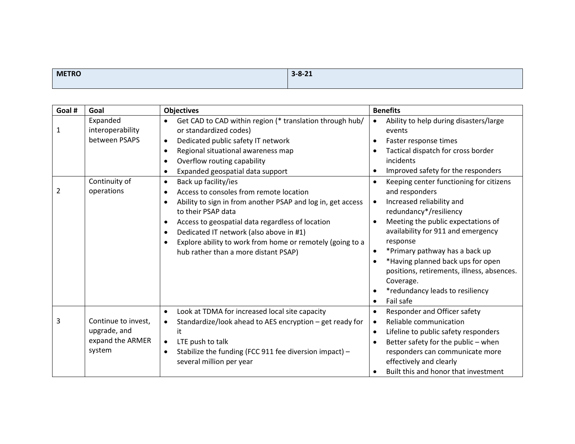| <b>METRO</b> | $3 - 8 - 21$ |
|--------------|--------------|
|              |              |

| Goal # | Goal                         | <b>Objectives</b>                                                                               | <b>Benefits</b>                                               |
|--------|------------------------------|-------------------------------------------------------------------------------------------------|---------------------------------------------------------------|
| 1      | Expanded<br>interoperability | Get CAD to CAD within region (* translation through hub/<br>$\bullet$<br>or standardized codes) | Ability to help during disasters/large<br>$\bullet$<br>events |
|        | between PSAPS                | Dedicated public safety IT network<br>$\bullet$                                                 | Faster response times                                         |
|        |                              | Regional situational awareness map<br>$\bullet$                                                 | Tactical dispatch for cross border                            |
|        |                              | Overflow routing capability<br>$\bullet$                                                        | incidents                                                     |
|        |                              | Expanded geospatial data support<br>$\bullet$                                                   | Improved safety for the responders                            |
|        | Continuity of                | Back up facility/ies<br>$\bullet$                                                               | Keeping center functioning for citizens                       |
| 2      | operations                   | Access to consoles from remote location                                                         | and responders                                                |
|        |                              | Ability to sign in from another PSAP and log in, get access<br>$\bullet$                        | Increased reliability and                                     |
|        |                              | to their PSAP data                                                                              | redundancy*/resiliency                                        |
|        |                              | Access to geospatial data regardless of location                                                | Meeting the public expectations of                            |
|        |                              | Dedicated IT network (also above in #1)<br>$\bullet$                                            | availability for 911 and emergency                            |
|        |                              | Explore ability to work from home or remotely (going to a                                       | response                                                      |
|        |                              | hub rather than a more distant PSAP)                                                            | *Primary pathway has a back up                                |
|        |                              |                                                                                                 | *Having planned back ups for open                             |
|        |                              |                                                                                                 | positions, retirements, illness, absences.                    |
|        |                              |                                                                                                 | Coverage.                                                     |
|        |                              |                                                                                                 | *redundancy leads to resiliency                               |
|        |                              |                                                                                                 | Fail safe                                                     |
|        |                              | Look at TDMA for increased local site capacity<br>$\bullet$                                     | Responder and Officer safety                                  |
| 3      | Continue to invest,          | Standardize/look ahead to AES encryption - get ready for<br>$\bullet$                           | Reliable communication<br>$\bullet$                           |
|        | upgrade, and                 | it                                                                                              | Lifeline to public safety responders                          |
|        | expand the ARMER             | LTE push to talk<br>$\bullet$                                                                   | Better safety for the public - when                           |
|        | system                       | Stabilize the funding (FCC 911 fee diversion impact) -<br>$\bullet$                             | responders can communicate more                               |
|        |                              | several million per year                                                                        | effectively and clearly                                       |
|        |                              |                                                                                                 | Built this and honor that investment                          |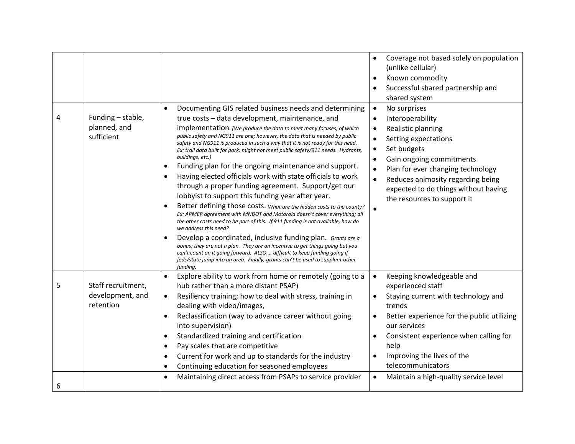| 4 | Funding - stable,<br>planned, and<br>sufficient     | Documenting GIS related business needs and determining<br>$\bullet$<br>true costs - data development, maintenance, and<br>implementation. (We produce the data to meet many focuses, of which<br>public safety and NG911 are one; however, the data that is needed by public<br>safety and NG911 is produced in such a way that it is not ready for this need.<br>Ex: trail data built for park; might not meet public safety/911 needs. Hydrants,<br>buildings, etc.)<br>Funding plan for the ongoing maintenance and support.<br>Having elected officials work with state officials to work<br>through a proper funding agreement. Support/get our<br>lobbyist to support this funding year after year.<br>Better defining those costs. What are the hidden costs to the county?<br>Ex: ARMER agreement with MNDOT and Motorola doesn't cover everything; all<br>the other costs need to be part of this. If 911 funding is not available, how do<br>we address this need?<br>Develop a coordinated, inclusive funding plan. Grants are a<br>bonus; they are not a plan. They are an incentive to get things going but you<br>can't count on it going forward. ALSO difficult to keep funding going if<br>feds/state jump into an area. Finally, grants can't be used to supplant other<br>funding. | Coverage not based solely on population<br>(unlike cellular)<br>Known commodity<br>Successful shared partnership and<br>shared system<br>No surprises<br>$\bullet$<br>Interoperability<br>Realistic planning<br>Setting expectations<br>Set budgets<br>Gain ongoing commitments<br>Plan for ever changing technology<br>Reduces animosity regarding being<br>expected to do things without having<br>the resources to support it |
|---|-----------------------------------------------------|-------------------------------------------------------------------------------------------------------------------------------------------------------------------------------------------------------------------------------------------------------------------------------------------------------------------------------------------------------------------------------------------------------------------------------------------------------------------------------------------------------------------------------------------------------------------------------------------------------------------------------------------------------------------------------------------------------------------------------------------------------------------------------------------------------------------------------------------------------------------------------------------------------------------------------------------------------------------------------------------------------------------------------------------------------------------------------------------------------------------------------------------------------------------------------------------------------------------------------------------------------------------------------------------------------|----------------------------------------------------------------------------------------------------------------------------------------------------------------------------------------------------------------------------------------------------------------------------------------------------------------------------------------------------------------------------------------------------------------------------------|
| 5 | Staff recruitment,<br>development, and<br>retention | Explore ability to work from home or remotely (going to a<br>$\bullet$<br>hub rather than a more distant PSAP)<br>Resiliency training; how to deal with stress, training in<br>$\bullet$<br>dealing with video/images,<br>Reclassification (way to advance career without going<br>into supervision)<br>Standardized training and certification<br>Pay scales that are competitive<br>Current for work and up to standards for the industry<br>Continuing education for seasoned employees                                                                                                                                                                                                                                                                                                                                                                                                                                                                                                                                                                                                                                                                                                                                                                                                            | Keeping knowledgeable and<br>$\bullet$<br>experienced staff<br>Staying current with technology and<br>trends<br>Better experience for the public utilizing<br>our services<br>Consistent experience when calling for<br>help<br>Improving the lives of the<br>telecommunicators                                                                                                                                                  |
| 6 |                                                     | Maintaining direct access from PSAPs to service provider                                                                                                                                                                                                                                                                                                                                                                                                                                                                                                                                                                                                                                                                                                                                                                                                                                                                                                                                                                                                                                                                                                                                                                                                                                              | Maintain a high-quality service level                                                                                                                                                                                                                                                                                                                                                                                            |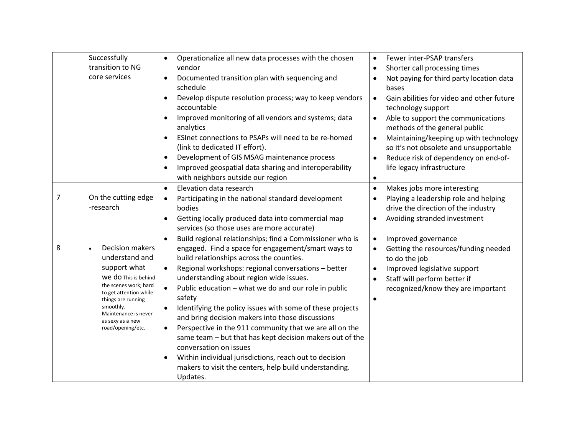|   | Successfully<br>transition to NG<br>core services                                                                                                                                                                                       | Operationalize all new data processes with the chosen<br>vendor<br>Documented transition plan with sequencing and<br>$\bullet$<br>schedule<br>Develop dispute resolution process; way to keep vendors<br>$\bullet$<br>accountable<br>Improved monitoring of all vendors and systems; data<br>analytics<br>ESInet connections to PSAPs will need to be re-homed<br>$\bullet$                                                                                                                                                                                                                                                                                                                                                                                                          | Fewer inter-PSAP transfers<br>$\bullet$<br>Shorter call processing times<br>Not paying for third party location data<br>bases<br>Gain abilities for video and other future<br>$\bullet$<br>technology support<br>Able to support the communications<br>$\bullet$<br>methods of the general public |
|---|-----------------------------------------------------------------------------------------------------------------------------------------------------------------------------------------------------------------------------------------|--------------------------------------------------------------------------------------------------------------------------------------------------------------------------------------------------------------------------------------------------------------------------------------------------------------------------------------------------------------------------------------------------------------------------------------------------------------------------------------------------------------------------------------------------------------------------------------------------------------------------------------------------------------------------------------------------------------------------------------------------------------------------------------|---------------------------------------------------------------------------------------------------------------------------------------------------------------------------------------------------------------------------------------------------------------------------------------------------|
|   |                                                                                                                                                                                                                                         | (link to dedicated IT effort).<br>Development of GIS MSAG maintenance process<br>$\bullet$<br>Improved geospatial data sharing and interoperability<br>$\bullet$<br>with neighbors outside our region                                                                                                                                                                                                                                                                                                                                                                                                                                                                                                                                                                                | Maintaining/keeping up with technology<br>$\bullet$<br>so it's not obsolete and unsupportable<br>Reduce risk of dependency on end-of-<br>life legacy infrastructure<br>$\bullet$                                                                                                                  |
| 7 | On the cutting edge<br>-research                                                                                                                                                                                                        | Elevation data research<br>$\bullet$<br>Participating in the national standard development<br>$\bullet$<br>bodies<br>Getting locally produced data into commercial map<br>services (so those uses are more accurate)                                                                                                                                                                                                                                                                                                                                                                                                                                                                                                                                                                 | Makes jobs more interesting<br>$\bullet$<br>Playing a leadership role and helping<br>drive the direction of the industry<br>Avoiding stranded investment                                                                                                                                          |
| 8 | <b>Decision makers</b><br>understand and<br>support what<br>We do This is behind<br>the scenes work; hard<br>to get attention while<br>things are running<br>smoothly.<br>Maintenance is never<br>as sexy as a new<br>road/opening/etc. | Build regional relationships; find a Commissioner who is<br>$\bullet$<br>engaged. Find a space for engagement/smart ways to<br>build relationships across the counties.<br>Regional workshops: regional conversations - better<br>$\bullet$<br>understanding about region wide issues.<br>$\bullet$<br>Public education - what we do and our role in public<br>safety<br>Identifying the policy issues with some of these projects<br>and bring decision makers into those discussions<br>Perspective in the 911 community that we are all on the<br>$\bullet$<br>same team - but that has kept decision makers out of the<br>conversation on issues<br>Within individual jurisdictions, reach out to decision<br>makers to visit the centers, help build understanding.<br>Updates. | Improved governance<br>$\bullet$<br>Getting the resources/funding needed<br>to do the job<br>Improved legislative support<br>Staff will perform better if<br>recognized/know they are important<br>$\bullet$                                                                                      |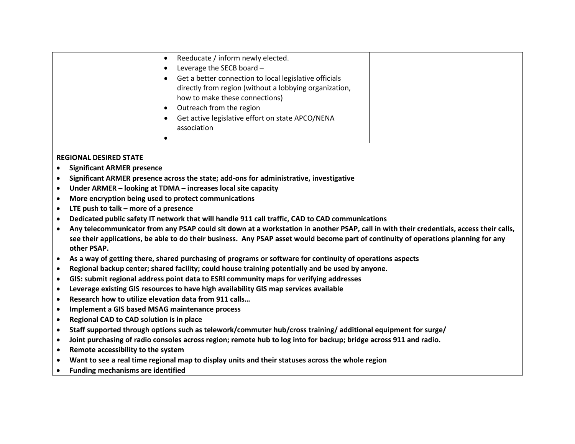| Reeducate / inform newly elected.                      |  |
|--------------------------------------------------------|--|
| Leverage the SECB board -                              |  |
| Get a better connection to local legislative officials |  |
| directly from region (without a lobbying organization, |  |
| how to make these connections)                         |  |
| Outreach from the region                               |  |
| Get active legislative effort on state APCO/NENA       |  |
| association                                            |  |
|                                                        |  |
|                                                        |  |

#### **REGIONAL DESIRED STATE**

- **Significant ARMER presence**
- **Significant ARMER presence across the state; add-ons for administrative, investigative**
- **Under ARMER – looking at TDMA – increases local site capacity**
- **More encryption being used to protect communications**
- **LTE push to talk – more of a presence**
- **Dedicated public safety IT network that will handle 911 call traffic, CAD to CAD communications**
- **Any telecommunicator from any PSAP could sit down at a workstation in another PSAP, call in with their credentials, access their calls, see their applications, be able to do their business. Any PSAP asset would become part of continuity of operations planning for any other PSAP.**
- **As a way of getting there, shared purchasing of programs or software for continuity of operations aspects**
- **Regional backup center; shared facility; could house training potentially and be used by anyone.**
- **GIS: submit regional address point data to ESRI community maps for verifying addresses**
- **Leverage existing GIS resources to have high availability GIS map services available**
- **Research how to utilize elevation data from 911 calls…**
- **Implement a GIS based MSAG maintenance process**
- **Regional CAD to CAD solution is in place**
- **Staff supported through options such as telework/commuter hub/cross training/ additional equipment for surge/**
- **Joint purchasing of radio consoles across region; remote hub to log into for backup; bridge across 911 and radio.**
- **Remote accessibility to the system**
- **Want to see a real time regional map to display units and their statuses across the whole region**
- **Funding mechanisms are identified**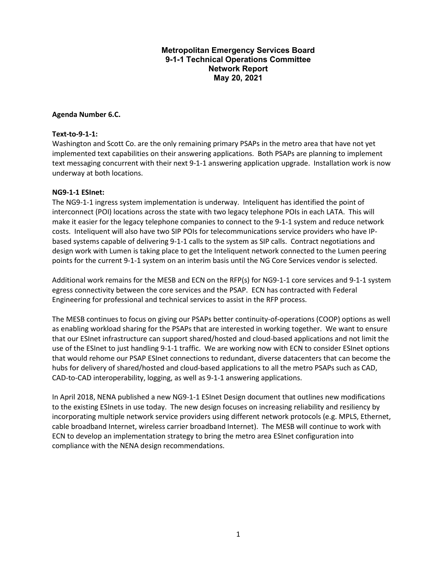#### **Metropolitan Emergency Services Board 9-1-1 Technical Operations Committee Network Report May 20, 2021**

#### **Agenda Number 6.C.**

#### **Text-to-9-1-1:**

Washington and Scott Co. are the only remaining primary PSAPs in the metro area that have not yet implemented text capabilities on their answering applications. Both PSAPs are planning to implement text messaging concurrent with their next 9-1-1 answering application upgrade. Installation work is now underway at both locations.

#### **NG9-1-1 ESInet:**

The NG9-1-1 ingress system implementation is underway. Inteliquent has identified the point of interconnect (POI) locations across the state with two legacy telephone POIs in each LATA. This will make it easier for the legacy telephone companies to connect to the 9-1-1 system and reduce network costs. Inteliquent will also have two SIP POIs for telecommunications service providers who have IPbased systems capable of delivering 9-1-1 calls to the system as SIP calls. Contract negotiations and design work with Lumen is taking place to get the Inteliquent network connected to the Lumen peering points for the current 9-1-1 system on an interim basis until the NG Core Services vendor is selected.

Additional work remains for the MESB and ECN on the RFP(s) for NG9-1-1 core services and 9-1-1 system egress connectivity between the core services and the PSAP. ECN has contracted with Federal Engineering for professional and technical services to assist in the RFP process.

The MESB continues to focus on giving our PSAPs better continuity-of-operations (COOP) options as well as enabling workload sharing for the PSAPs that are interested in working together. We want to ensure that our ESInet infrastructure can support shared/hosted and cloud-based applications and not limit the use of the ESInet to just handling 9-1-1 traffic. We are working now with ECN to consider ESInet options that would rehome our PSAP ESInet connections to redundant, diverse datacenters that can become the hubs for delivery of shared/hosted and cloud-based applications to all the metro PSAPs such as CAD, CAD-to-CAD interoperability, logging, as well as 9-1-1 answering applications.

In April 2018, NENA published a new NG9-1-1 ESInet Design document that outlines new modifications to the existing ESInets in use today. The new design focuses on increasing reliability and resiliency by incorporating multiple network service providers using different network protocols (e.g. MPLS, Ethernet, cable broadband Internet, wireless carrier broadband Internet). The MESB will continue to work with ECN to develop an implementation strategy to bring the metro area ESInet configuration into compliance with the NENA design recommendations.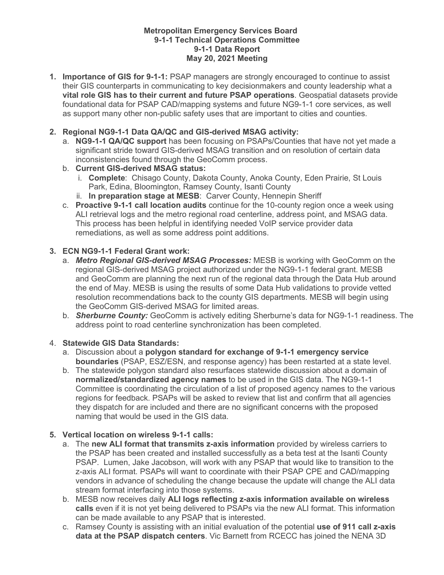#### **Metropolitan Emergency Services Board 9-1-1 Technical Operations Committee 9-1-1 Data Report May 20, 2021 Meeting**

**1. Importance of GIS for 9-1-1:** PSAP managers are strongly encouraged to continue to assist their GIS counterparts in communicating to key decisionmakers and county leadership what a **vital role GIS has to their current and future PSAP operations**. Geospatial datasets provide foundational data for PSAP CAD/mapping systems and future NG9-1-1 core services, as well as support many other non-public safety uses that are important to cities and counties.

#### **2. Regional NG9-1-1 Data QA/QC and GIS-derived MSAG activity:**

- a. **NG9-1-1 QA/QC support** has been focusing on PSAPs/Counties that have not yet made a significant stride toward GIS-derived MSAG transition and on resolution of certain data inconsistencies found through the GeoComm process.
- b. **Current GIS-derived MSAG status:** 
	- i. **Complete**: Chisago County, Dakota County, Anoka County, Eden Prairie, St Louis Park, Edina, Bloomington, Ramsey County, Isanti County
	- ii. **In preparation stage at MESB**: Carver County, Hennepin Sheriff
- c. **Proactive 9-1-1 call location audits** continue for the 10-county region once a week using ALI retrieval logs and the metro regional road centerline, address point, and MSAG data. This process has been helpful in identifying needed VoIP service provider data remediations, as well as some address point additions.

#### **3. ECN NG9-1-1 Federal Grant work:**

- a. *Metro Regional GIS-derived MSAG Processes:* MESB is working with GeoComm on the regional GIS-derived MSAG project authorized under the NG9-1-1 federal grant. MESB and GeoComm are planning the next run of the regional data through the Data Hub around the end of May. MESB is using the results of some Data Hub validations to provide vetted resolution recommendations back to the county GIS departments. MESB will begin using the GeoComm GIS-derived MSAG for limited areas.
- b. *Sherburne County:* GeoComm is actively editing Sherburne's data for NG9-1-1 readiness. The address point to road centerline synchronization has been completed.

#### 4. **Statewide GIS Data Standards:**

- a. Discussion about a **polygon standard for exchange of 9-1-1 emergency service boundaries** (PSAP, ESZ/ESN, and response agency) has been restarted at a state level.
- b. The statewide polygon standard also resurfaces statewide discussion about a domain of **normalized/standardized agency names** to be used in the GIS data. The NG9-1-1 Committee is coordinating the circulation of a list of proposed agency names to the various regions for feedback. PSAPs will be asked to review that list and confirm that all agencies they dispatch for are included and there are no significant concerns with the proposed naming that would be used in the GIS data.

#### **5. Vertical location on wireless 9-1-1 calls:**

- a. The **new ALI format that transmits z-axis information** provided by wireless carriers to the PSAP has been created and installed successfully as a beta test at the Isanti County PSAP. Lumen, Jake Jacobson, will work with any PSAP that would like to transition to the z-axis ALI format. PSAPs will want to coordinate with their PSAP CPE and CAD/mapping vendors in advance of scheduling the change because the update will change the ALI data stream format interfacing into those systems.
- b. MESB now receives daily **ALI logs reflecting z-axis information available on wireless calls** even if it is not yet being delivered to PSAPs via the new ALI format. This information can be made available to any PSAP that is interested.
- c. Ramsey County is assisting with an initial evaluation of the potential **use of 911 call z-axis data at the PSAP dispatch centers**. Vic Barnett from RCECC has joined the NENA 3D